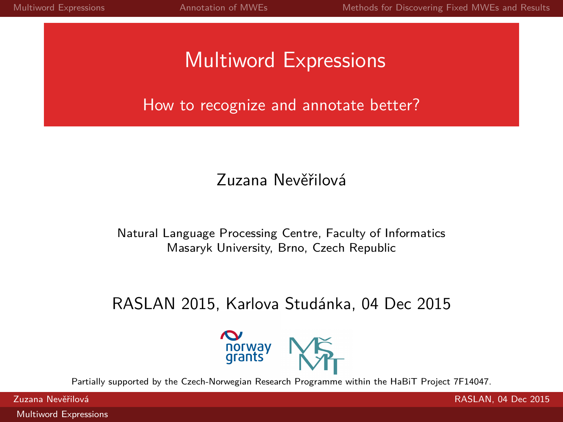# Multiword Expressions

How to recognize and annotate better?

### Zuzana Nevěřilová

Natural Language Processing Centre, Faculty of Informatics Masaryk University, Brno, Czech Republic

### RASLAN 2015, Karlova Studánka, 04 Dec 2015

<span id="page-0-0"></span>

Partially supported by the Czech-Norwegian Research Programme within the HaBiT Project 7F14047.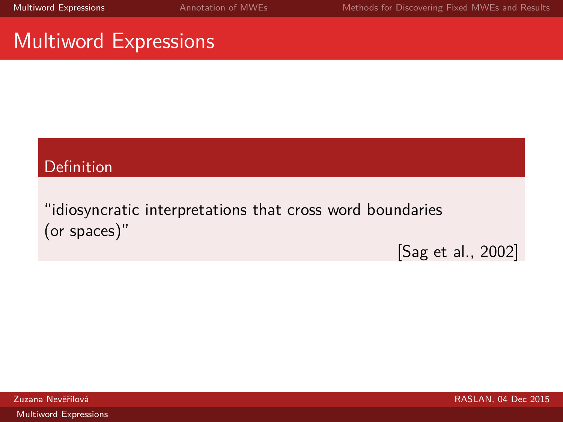### Multiword Expressions

### Definition

"idiosyncratic interpretations that cross word boundaries (or spaces)"

<span id="page-1-0"></span>[\[Sag et al., 2002\]](#page-18-1)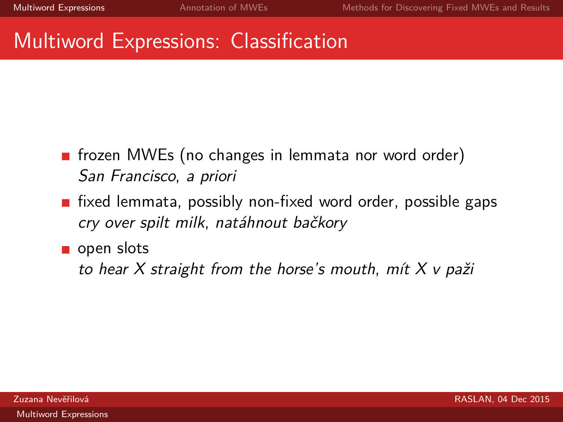### Multiword Expressions: Classification

- **fiance Find MWEs** (no changes in lemmata nor word order) San Francisco, a priori
- $\blacksquare$  fixed lemmata, possibly non-fixed word order, possible gaps cry over spilt milk, natáhnout bačkory
- open slots

to hear  $X$  straight from the horse's mouth, mit  $X$  v paži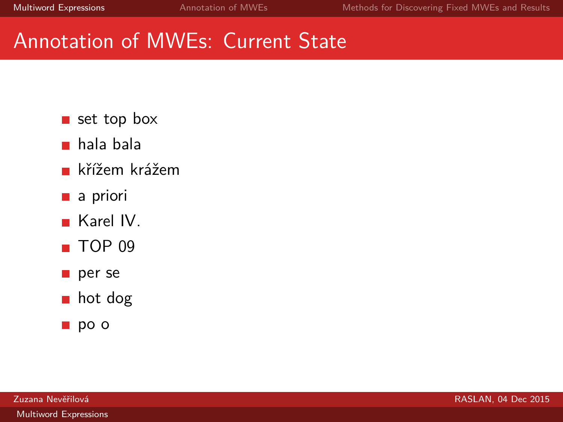- set top box
- hala bala
- křížem krážem
- a priori
- **Karel IV.**
- $\blacksquare$  TOP 09
- per se
- hot dog
- po o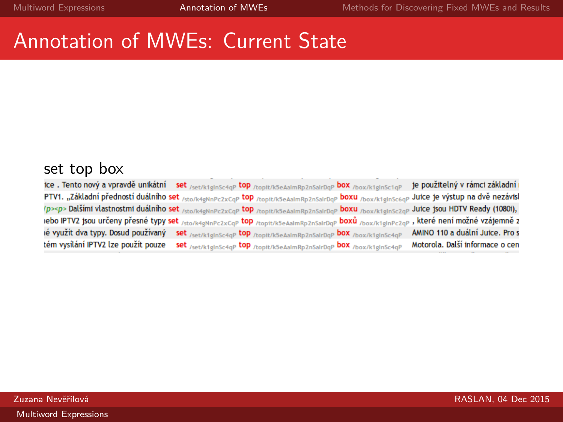### set top box

<span id="page-4-0"></span>

| ice. Tento nový a vpravdě unikátní set /set/ktglnSc4qP top /topit/k5eAalmRp2nSalrDqP box /box/ktglnSc1qP                                         |                                                                       | je použitelný v rámci základní  |
|--------------------------------------------------------------------------------------------------------------------------------------------------|-----------------------------------------------------------------------|---------------------------------|
| PTV1. "Základní předností duálního set /sto/k4gNnPc2xCqP top /topit/k5eAalmRp2nSalrDqP boxu /box/k1gInSc6qP Juice je výstup na dvě nezávisl      |                                                                       |                                 |
| /p> <p> Dalšími vlastnostmi duálního set /sto/k4eNnPc2xCaP top /topit/k5eAaImRp2nSalrDaP boxu /box/k1eInSc2aP Juice jsou HDTV Ready (1080i),</p> |                                                                       |                                 |
| iebo IPTV2 jsou určeny přesné typy set /sto/k4gNnPc2xCqP top /topit/k5eAalmRp2nSalrDqP boxů /box/k1glnPc2qP, které není možné vzájemně z         |                                                                       |                                 |
| ié využít dva typy. Dosud používaný set /set/ktelnSc4qP top /topit/k5eAalmRp2nSalrDqP box /box/ktglnSc4qP                                        |                                                                       | AMINO 110 a duální Juice. Pro s |
| tém vysílání IPTV2 lze použít pouze                                                                                                              | set /set/k1glnSc4gP top /topit/k5eAalmRp2nSalrDgP box /box/k1glnSc4gP | Motorola. Další informace o cen |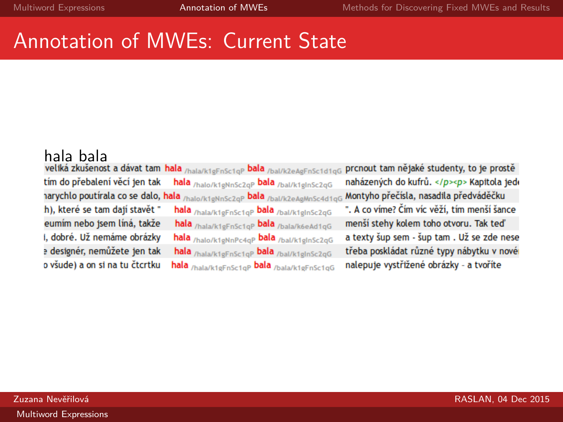hala bala<br>veliká zkušenost a dávat tam hala <sub>/hala/k1gFnSc1qP</sub> bala <sub>/bal/k2eAgFnSc1d1qG</sub> tím do přebalení věcí jen tak hala /halo/k1gNnSc2gP bala /bal/k1glnSc2gG narychlo poutírala co se dalo, hala /halo/k1gNnSc2qP bala /bal/k2eAgMnSc4d1qG h), které se tam dají stavět " hala /hala/k1gFnSc1qP bala /bal/k1gInSc2qG eumím nebo jsem líná, takže hala /hala/k1gFnSc1qP bala /bala/k6eAd1qG i, dobré. Už nemáme obrázky hala /halo/k1gNnPc4gP bala /bal/k1gInSc2gG a designér, nemůžete jen tak hala /hala/k1gFnSc1qP bala /bal/k1gInSc2qG o všude) a on si na tu čtcrtku hala /hala/k1gFnSc1gP bala /bala/k1gFnSc1gG

prcnout tam nějaké studenty, to je prostě naházených do kufrů. </p><p> Kapitola jede Montyho přečísla, nasadila předváděčku ". A co víme? Čím víc věží, tím menší šance

menší stehy kolem toho otvoru. Tak teď a texty šup sem - šup tam . Už se zde nese třeba poskládat různé typy nábytku v nové nalepuje vystřižené obrázky - a tvoříte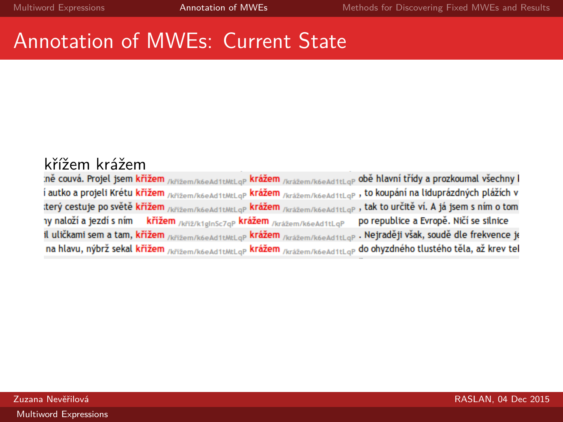křížem krážem<br>:ně couvá. Projel jsem křížem <sub>/křížem/k6eAd1tMtLqP</sub> krážem /krážem/k6eAd1tLqP obě hlavní třídy a prozkoumal všechny l í autko a projeli Krétu křižem /křižem/k6eAd1tMtLqP krážem /krážem/k6eAd1tLqP , to koupání na liduprázdných plážích v terý cestuje po světě křížem /křižem/k6eAd1tMtLaP krážem /krážem/k6eAd1tLaP, tak to určitě ví. A já jsem s ním o tom ny naloží a jezdí s ním křížem /křiž/k1glnSc7qP krážem /krážem/k6eAd1tLqP po republice a Evropě. Ničí se silnice il uličkami sem a tam, křížem /křižem/k6eAd1tMtLaP krážem /krážem/k6eAd1tLaP . Nejraději však, soudě dle frekvence je na hlavu, nýbrž sekal křížem /křižem/k6eAd1tMtLaP krážem /krážem/k6eAd1tLaP do ohyzdného tlustého těla, až krev tel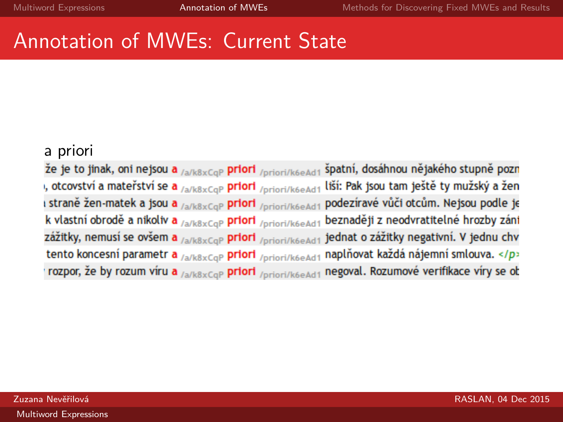### a priori

že je to jinak, oni nejsou a /a/k8xCqP priori /priori/k6eAd1 špatní, dosáhnou nějakého stupně pozn , otcovství a mateřství se a <sub>/a/k8xCqP</sub> priori /priori/k6eAd1 liší: Pak jsou tam ještě ty mužský a žen I straně žen-matek a jsou a <sub>/a/k8xCqP</sub> priori /priori/k6eAd1 podezíravé vůči otcům. Nejsou podle je k vlastní obrodě a nikoliv a /a/k8xCqP priori /priori/k6eAd1 beznaději z neodvratitelné hrozby záni zážitky, nemusí se ovšem a <sub>/a/k8xCqP</sub> priori /priori/k6eAd1 jednat o zážitky negativní. V jednu chv tento koncesní parametr a /a/k8xCqP priori /priori/k6eAd1 naplňovat každá nájemní smlouva. </p> rozpor, že by rozum víru a /a/k8xCqP priori /priori/k6eAd1 negoval. Rozumové verifikace víry se ob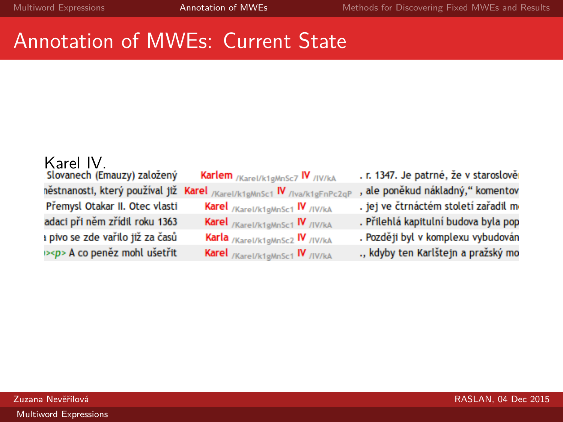Karel IV.<br>slovanech (Emauzy) založený Přemysl Otakar II. Otec vlasti adaci při něm zřídil roku 1363 a pivo se zde vařilo již za časů ><p> A co peněz mohl ušetřit

Karlem /Karel/k1gMnSc7 IV /IV/kA něstnanosti, který používal již Karel /Karel/k1gMnSc1 IV /Iva/k1gFnPc2qP Karel /Karel/k1gMnSc1 IV /IV/kA Karel /Karel/k1gMnSc1 IV /IV/kA Karla /Karel/k1gMnSc2 IV /IV/kA Karel /Karel/k1gMnSc1 IV /IV/kA

. r. 1347. Je patrné, že v staroslově , ale poněkud nákladný," komentov . jej ve čtrnáctém století zařadil m . Přilehlá kapitulní budova byla pop . Později byl v komplexu vybudován ., kdyby ten Karlštejn a pražský mo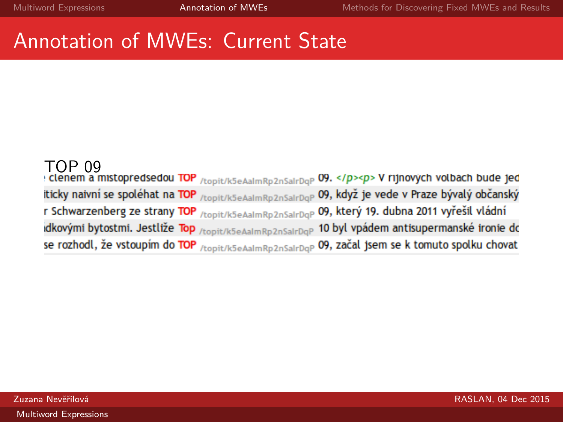### TOP 09<br>: clenem a mistopředsedou TOP <sub>/topit/k5eAalmRp2nSalrDqP</sub> 09. </p><p> V říjnových volbách bude jed iticky naivní se spoléhat na TOP /topit/k5eAalmRp2nSalrDaP 09, když je vede v Praze bývalý občanský r Schwarzenberg ze strany TOP /topit/k5eAalmRp2nSalrDqP 09, který 19. dubna 2011 vyřešil vládní dkovými bytostmi. Jestliže Top /topit/k5eAalmRp2nSalrDqP 10 byl vpádem antisupermanské ironie do se rozhodl, že vstoupím do TOP /topit/k5eAalmRp2nSalrDqP 09, začal jsem se k tomuto spolku chovat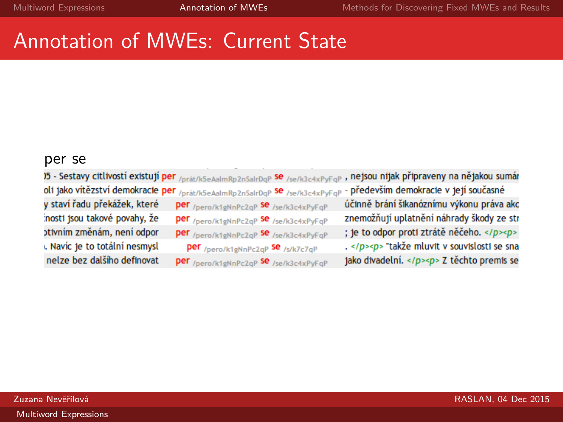### per se

|                               |                                                                                                                                           | )5 - Sestavy citlivostí existují per /prát/k5eAalmRp2nSalrDqP Se /se/k3c4xPyFqP, nejsou nijak připraveny na nějakou sumár |
|-------------------------------|-------------------------------------------------------------------------------------------------------------------------------------------|---------------------------------------------------------------------------------------------------------------------------|
|                               | oli jako vítězství demokracie per <sub>/prát/k5eAalmRp2nSalrDqP</sub> se <sub>/se/k3c4xPyFqP</sub> - především demokracie v její současné |                                                                                                                           |
| y staví řadu překážek, které  | Per /pero/k1gNnPc2qP Se /se/k3c4xPyFqP                                                                                                    | účinně brání šikanóznímu výkonu práva akc                                                                                 |
| inosti jsou takové povahy, že | Per /pero/k1gNnPc2qP Se /se/k3c4xPyFqP                                                                                                    | znemožňují uplatnění náhrady škody ze str                                                                                 |
| otivním změnám, není odpor    | per /pero/k1gNnPc2qP Se /se/k3c4xPyFqP                                                                                                    | ; je to odpor proti ztrátě něčeho. <p></p>                                                                                |
| . Navíc je to totální nesmysl | per /pero/k1gNnPc2qP Se /s/k7c7qP                                                                                                         | . <p> "takže mluvit v souvislosti se sna</p>                                                                              |
| nelze bez dalšího definovat   | <b>Per</b> /pero/k1aNnPc2aP Se /se/k3c4xPvEaP                                                                                             | jako divadelní. <p> Z těchto premis se</p>                                                                                |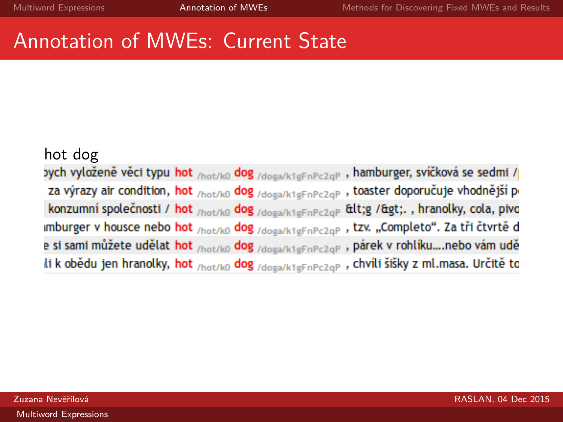### hot dog

yych vyloženě věci typu hot <sub>/hot/k0</sub> dog <sub>/doga/k1gFnPc2qP</sub>, hamburger, svíčková se sedmi / za výrazy air condition, hot /hot/k0 dog /doga/k1gFnPc2qP, toaster doporučuje vhodnější p konzumní společnosti / hot <sub>/hot/k0</sub> dog /doga/k1gFnPc2aP &lt;g /&gt;., hranolky, cola, pivo imburger v housce nebo hot /hot/ko dog /doga/k1gFnPc2qP, tzv. "Completo". Za tři čtvrtě d e si sami můžete udělat hot <sub>/hot/k0</sub> dog <sub>/doga/k1gFnPc2qP</sub> , párek v rohlíku....nebo vám udě li k obědu jen hranolky, hot <sub>/hot/k0</sub> dog <sub>/doga/k1gFnPc2qP</sub> , chvíli šišky z ml.masa. Určitě to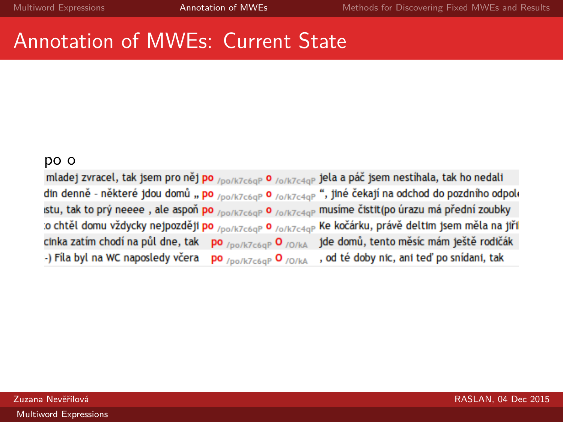**po o**<br>mladej zvracel, tak jsem pro něj po <sub>/po/k7c6qP</sub> o <sub>/o/k7c4qP</sub> jela a páč jsem nestíhala, tak ho nedali din denně - některé jdou domů " po /po/k7c6qP 0 /o/k7c4qP ", jiné čekají na odchod do pozdního odpol **istu, tak to prý neeee, ale aspoň po** /po/k7c6qP O /o/k7c4qP musíme čistit(po úrazu má přední zoubky o chtěl domu vždycky nejpozději po /po/k7c6qP 0 /o/k7c4qP Ke kočárku, právě deltím jsem měla na jiří cinka zatím chodí na půl dne, tak jde domů, tento měsíc mám ještě rodičák po /po/k7c6qP O /0/kA -) Fila byl na WC naposledy včera , od té doby nic, ani teď po snídani, tak po /po/k7c6qP O /O/kA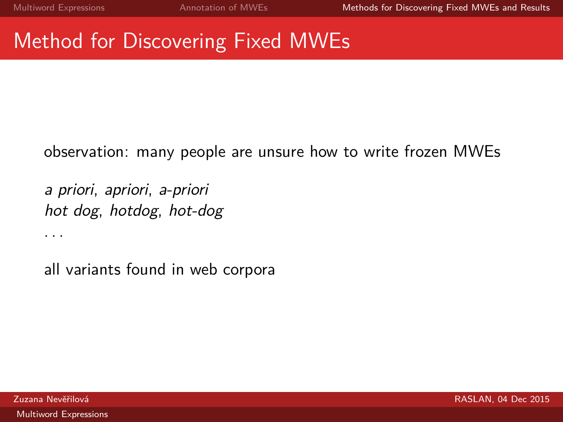# Method for Discovering Fixed MWEs

observation: many people are unsure how to write frozen MWEs

a priori, apriori, a-priori hot dog, hotdog, hot-dog

<span id="page-13-0"></span>all variants found in web corpora

. . .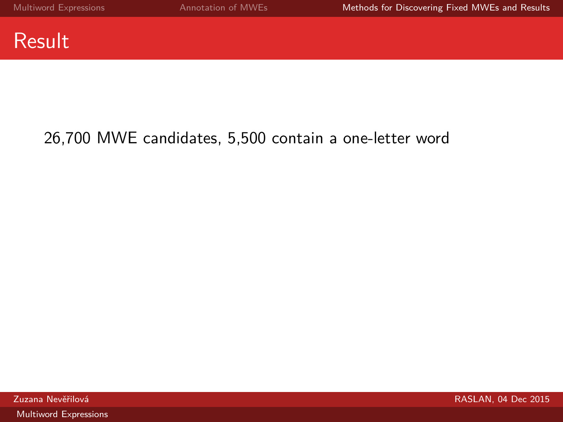

### 26,700 MWE candidates, 5,500 contain a one-letter word

[Multiword Expressions](#page-0-0)

zuzana Nevěřilová kontrol kontrol kontrol kontrol kontrol kontrol kontrol kontrol kontrol kontrol kontrol kontrol kontrol kontrol kontrol kontrol kontrol kontrol kontrol kontrol kontrol kontrol kontrol kontrol kontrol kont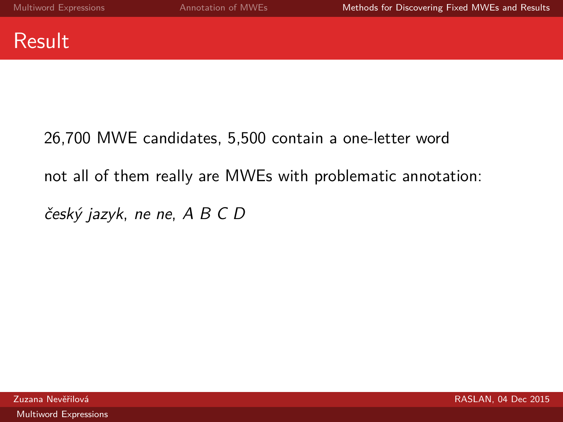

### 26,700 MWE candidates, 5,500 contain a one-letter word

### not all of them really are MWEs with problematic annotation:

český jazyk, ne ne, A B C D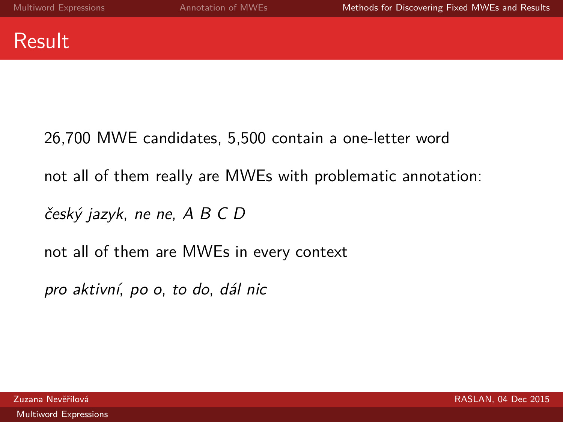

26,700 MWE candidates, 5,500 contain a one-letter word not all of them really are MWEs with problematic annotation:

český jazyk, ne ne, A B C D

not all of them are MWEs in every context

pro aktivní, po o, to do, dál nic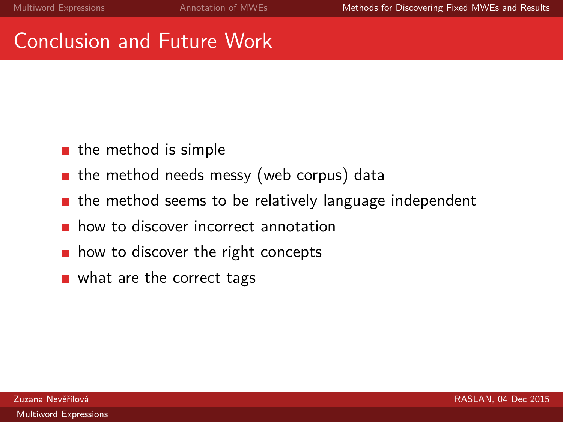### Conclusion and Future Work

- $\blacksquare$  the method is simple
- $\blacksquare$  the method needs messy (web corpus) data
- $\blacksquare$  the method seems to be relatively language independent
- **how to discover incorrect annotation**
- $\blacksquare$  how to discover the right concepts
- what are the correct tags